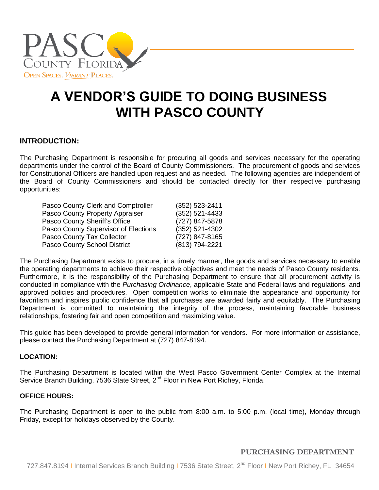

# **A VENDOR'S GUIDE TO DOING BUSINESS WITH PASCO COUNTY**

# **INTRODUCTION:**

The Purchasing Department is responsible for procuring all goods and services necessary for the operating departments under the control of the Board of County Commissioners. The procurement of goods and services for Constitutional Officers are handled upon request and as needed. The following agencies are independent of the Board of County Commissioners and should be contacted directly for their respective purchasing opportunities:

| Pasco County Clerk and Comptroller   | $(352)$ 523-2411 |
|--------------------------------------|------------------|
| Pasco County Property Appraiser      | (352) 521-4433   |
| Pasco County Sheriff's Office        | (727) 847-5878   |
| Pasco County Supervisor of Elections | (352) 521-4302   |
| Pasco County Tax Collector           | (727) 847-8165   |
| Pasco County School District         | (813) 794-2221   |

The Purchasing Department exists to procure, in a timely manner, the goods and services necessary to enable the operating departments to achieve their respective objectives and meet the needs of Pasco County residents. Furthermore, it is the responsibility of the Purchasing Department to ensure that all procurement activity is conducted in compliance with the *Purchasing Ordinance*, applicable State and Federal laws and regulations, and approved policies and procedures. Open competition works to eliminate the appearance and opportunity for favoritism and inspires public confidence that all purchases are awarded fairly and equitably. The Purchasing Department is committed to maintaining the integrity of the process, maintaining favorable business relationships, fostering fair and open competition and maximizing value.

This guide has been developed to provide general information for vendors. For more information or assistance, please contact the Purchasing Department at (727) 847-8194.

# **LOCATION:**

The Purchasing Department is located within the West Pasco Government Center Complex at the Internal Service Branch Building, 7536 State Street, 2<sup>nd</sup> Floor in New Port Richey, Florida.

## **OFFICE HOURS:**

The Purchasing Department is open to the public from 8:00 a.m. to 5:00 p.m. (local time), Monday through Friday, except for holidays observed by the County.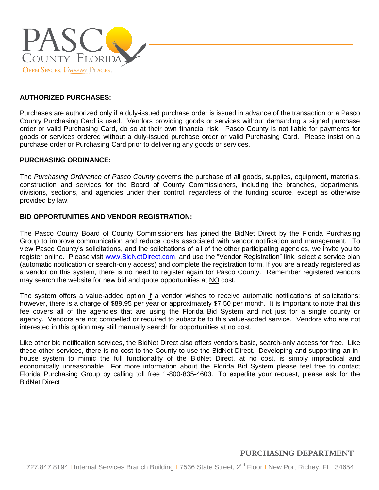

## **AUTHORIZED PURCHASES:**

Purchases are authorized only if a duly-issued purchase order is issued in advance of the transaction or a Pasco County Purchasing Card is used. Vendors providing goods or services without demanding a signed purchase order or valid Purchasing Card, do so at their own financial risk. Pasco County is not liable for payments for goods or services ordered without a duly-issued purchase order or valid Purchasing Card. Please insist on a purchase order or Purchasing Card prior to delivering any goods or services.

## **PURCHASING ORDINANCE:**

The *Purchasing Ordinance of Pasco County* governs the purchase of all goods, supplies, equipment, materials, construction and services for the Board of County Commissioners, including the branches, departments, divisions, sections, and agencies under their control, regardless of the funding source, except as otherwise provided by law.

## **BID OPPORTUNITIES AND VENDOR REGISTRATION:**

The Pasco County Board of County Commissioners has joined the BidNet Direct by the Florida Purchasing Group to improve communication and reduce costs associated with vendor notification and management. To view Pasco County's solicitations, and the solicitations of all of the other participating agencies, we invite you to register online. Please visit [www.BidNetDirect.com,](http://www.bidnetdirect.com/) and use the "Vendor Registration" link, select a service plan (automatic notification or search-only access) and complete the registration form. If you are already registered as a vendor on this system, there is no need to register again for Pasco County. Remember registered vendors may search the website for new bid and quote opportunities at NO cost.

The system offers a value-added option if a vendor wishes to receive automatic notifications of solicitations; however, there is a charge of \$89.95 per year or approximately \$7.50 per month. It is important to note that this fee covers all of the agencies that are using the Florida Bid System and not just for a single county or agency. Vendors are not compelled or required to subscribe to this value-added service. Vendors who are not interested in this option may still manually search for opportunities at no cost.

Like other bid notification services, the BidNet Direct also offers vendors basic, search-only access for free. Like these other services, there is no cost to the County to use the BidNet Direct. Developing and supporting an inhouse system to mimic the full functionality of the BidNet Direct, at no cost, is simply impractical and economically unreasonable. For more information about the Florida Bid System please feel free to contact Florida Purchasing Group by calling toll free 1-800-835-4603. To expedite your request, please ask for the BidNet Direct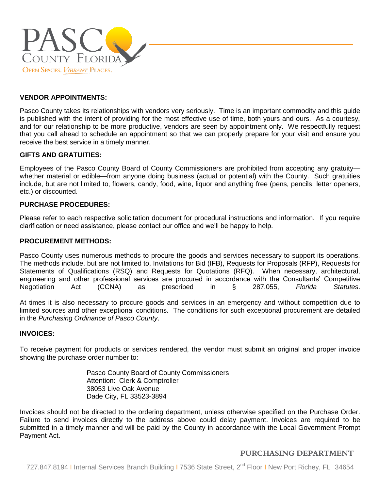

# **VENDOR APPOINTMENTS:**

Pasco County takes its relationships with vendors very seriously. Time is an important commodity and this guide is published with the intent of providing for the most effective use of time, both yours and ours. As a courtesy, and for our relationship to be more productive, vendors are seen by appointment only. We respectfully request that you call ahead to schedule an appointment so that we can properly prepare for your visit and ensure you receive the best service in a timely manner.

## **GIFTS AND GRATUITIES:**

Employees of the Pasco County Board of County Commissioners are prohibited from accepting any gratuity whether material or edible—from anyone doing business (actual or potential) with the County. Such gratuities include, but are not limited to, flowers, candy, food, wine, liquor and anything free (pens, pencils, letter openers, etc.) or discounted.

# **PURCHASE PROCEDURES:**

Please refer to each respective solicitation document for procedural instructions and information. If you require clarification or need assistance, please contact our office and we'll be happy to help.

## **PROCUREMENT METHODS:**

Pasco County uses numerous methods to procure the goods and services necessary to support its operations. The methods include, but are not limited to, Invitations for Bid (IFB), Requests for Proposals (RFP), Requests for Statements of Qualifications (RSQ) and Requests for Quotations (RFQ). When necessary, architectural, engineering and other professional services are procured in accordance with the Consultants' Competitive Negotiation Act (CCNA) as prescribed in § 287.055, *Florida Statutes*.

At times it is also necessary to procure goods and services in an emergency and without competition due to limited sources and other exceptional conditions. The conditions for such exceptional procurement are detailed in the *Purchasing Ordinance of Pasco County*.

## **INVOICES:**

To receive payment for products or services rendered, the vendor must submit an original and proper invoice showing the purchase order number to:

> Pasco County Board of County Commissioners Attention: Clerk & Comptroller 38053 Live Oak Avenue Dade City, FL 33523-3894

Invoices should not be directed to the ordering department, unless otherwise specified on the Purchase Order. Failure to send invoices directly to the address above could delay payment. Invoices are required to be submitted in a timely manner and will be paid by the County in accordance with the Local Government Prompt Payment Act.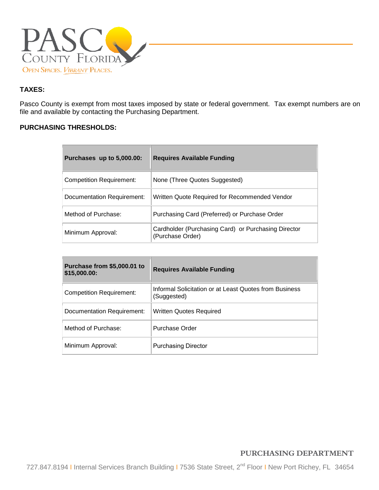

# **TAXES:**

Pasco County is exempt from most taxes imposed by state or federal government. Tax exempt numbers are on file and available by contacting the Purchasing Department.

# **PURCHASING THRESHOLDS:**

| Purchases up to 5,000.00:       | <b>Requires Available Funding</b>                                       |
|---------------------------------|-------------------------------------------------------------------------|
| <b>Competition Requirement:</b> | None (Three Quotes Suggested)                                           |
| Documentation Requirement:      | Written Quote Required for Recommended Vendor                           |
| Method of Purchase:             | Purchasing Card (Preferred) or Purchase Order                           |
| Minimum Approval:               | Cardholder (Purchasing Card) or Purchasing Director<br>(Purchase Order) |

| Purchase from \$5,000.01 to<br>\$15,000.00: | Requires Available Funding                                            |
|---------------------------------------------|-----------------------------------------------------------------------|
| <b>Competition Requirement:</b>             | Informal Solicitation or at Least Quotes from Business<br>(Suggested) |
| <b>Documentation Requirement:</b>           | <b>Written Quotes Required</b>                                        |
| Method of Purchase:                         | <b>Purchase Order</b>                                                 |
| Minimum Approval:                           | <b>Purchasing Director</b>                                            |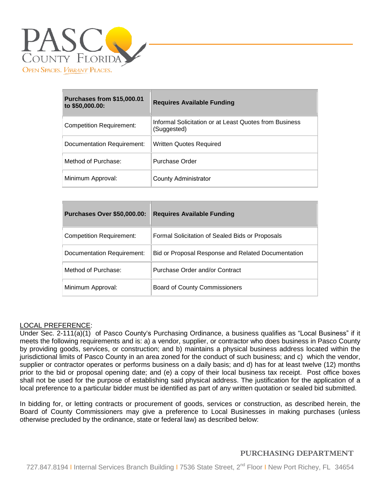

| <b>Purchases from \$15,000.01</b><br>to \$50,000.00: | <b>Requires Available Funding</b>                                     |
|------------------------------------------------------|-----------------------------------------------------------------------|
| <b>Competition Requirement:</b>                      | Informal Solicitation or at Least Quotes from Business<br>(Suggested) |
| Documentation Requirement:                           | <b>Written Quotes Required</b>                                        |
| Method of Purchase:                                  | Purchase Order                                                        |
| Minimum Approval:                                    | County Administrator                                                  |

| <b>Purchases Over \$50,000.00:</b> | <b>Requires Available Funding</b>                  |
|------------------------------------|----------------------------------------------------|
| <b>Competition Requirement:</b>    | Formal Solicitation of Sealed Bids or Proposals    |
| Documentation Requirement:         | Bid or Proposal Response and Related Documentation |
| Method of Purchase:                | Purchase Order and/or Contract                     |
| Minimum Approval:                  | <b>Board of County Commissioners</b>               |

## LOCAL PREFERENCE:

Under Sec. 2-111(a)(1) of Pasco County's Purchasing Ordinance, a business qualifies as "Local Business" if it meets the following requirements and is: a) a vendor, supplier, or contractor who does business in Pasco County by providing goods, services, or construction; and b) maintains a physical business address located within the jurisdictional limits of Pasco County in an area zoned for the conduct of such business; and c) which the vendor, supplier or contractor operates or performs business on a daily basis; and d) has for at least twelve (12) months prior to the bid or proposal opening date; and (e) a copy of their local business tax receipt. Post office boxes shall not be used for the purpose of establishing said physical address. The justification for the application of a local preference to a particular bidder must be identified as part of any written quotation or sealed bid submitted.

In bidding for, or letting contracts or procurement of goods, services or construction, as described herein, the Board of County Commissioners may give a preference to Local Businesses in making purchases (unless otherwise precluded by the ordinance, state or federal law) as described below: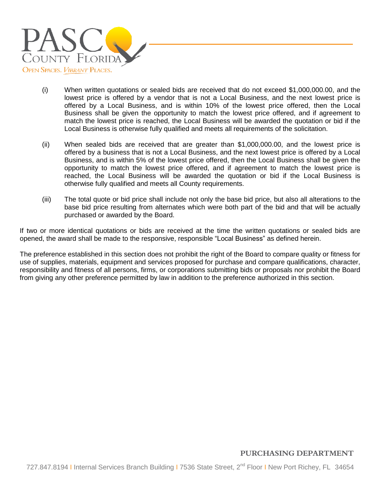

- (i) When written quotations or sealed bids are received that do not exceed \$1,000,000.00, and the lowest price is offered by a vendor that is not a Local Business, and the next lowest price is offered by a Local Business, and is within 10% of the lowest price offered, then the Local Business shall be given the opportunity to match the lowest price offered, and if agreement to match the lowest price is reached, the Local Business will be awarded the quotation or bid if the Local Business is otherwise fully qualified and meets all requirements of the solicitation.
- (ii) When sealed bids are received that are greater than \$1,000,000.00, and the lowest price is offered by a business that is not a Local Business, and the next lowest price is offered by a Local Business, and is within 5% of the lowest price offered, then the Local Business shall be given the opportunity to match the lowest price offered, and if agreement to match the lowest price is reached, the Local Business will be awarded the quotation or bid if the Local Business is otherwise fully qualified and meets all County requirements.
- (iii) The total quote or bid price shall include not only the base bid price, but also all alterations to the base bid price resulting from alternates which were both part of the bid and that will be actually purchased or awarded by the Board.

If two or more identical quotations or bids are received at the time the written quotations or sealed bids are opened, the award shall be made to the responsive, responsible "Local Business" as defined herein.

The preference established in this section does not prohibit the right of the Board to compare quality or fitness for use of supplies, materials, equipment and services proposed for purchase and compare qualifications, character, responsibility and fitness of all persons, firms, or corporations submitting bids or proposals nor prohibit the Board from giving any other preference permitted by law in addition to the preference authorized in this section.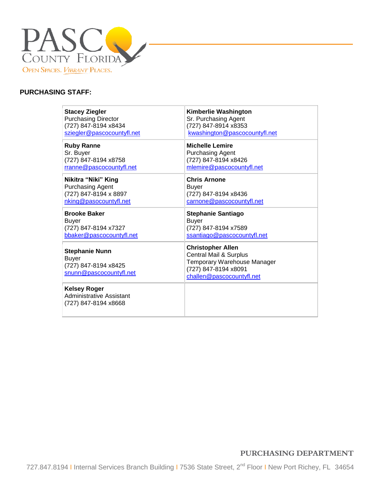

# **PURCHASING STAFF:**

| <b>Stacey Ziegler</b>                                                                    | Kimberlie Washington                                                                                                                   |
|------------------------------------------------------------------------------------------|----------------------------------------------------------------------------------------------------------------------------------------|
| <b>Purchasing Director</b>                                                               | Sr. Purchasing Agent                                                                                                                   |
| (727) 847-8194 x8434                                                                     | (727) 847-8914 x8353                                                                                                                   |
| sziegler@pascocountyfl.net                                                               | kwashington@pascocountyfl.net                                                                                                          |
| <b>Ruby Ranne</b>                                                                        | Michelle Lemire                                                                                                                        |
| Sr. Buyer                                                                                | <b>Purchasing Agent</b>                                                                                                                |
| (727) 847-8194 x8758                                                                     | (727) 847-8194 x8426                                                                                                                   |
| rranne@pascocountyfl.net                                                                 | mlemire@pascocountyfl.net                                                                                                              |
| Nikitra "Niki" King                                                                      | <b>Chris Arnone</b>                                                                                                                    |
| <b>Purchasing Agent</b>                                                                  | Buver                                                                                                                                  |
| (727) 847-8194 x 8897                                                                    | (727) 847-8194 x8436                                                                                                                   |
| nking@pasocountyfl.net                                                                   | carnone@pascocountyfl.net                                                                                                              |
| <b>Brooke Baker</b>                                                                      | <b>Stephanie Santiago</b>                                                                                                              |
| Buyer                                                                                    | <b>Buyer</b>                                                                                                                           |
| (727) 847-8194 x7327                                                                     | (727) 847-8194 x7589                                                                                                                   |
| bbaker@pascocountyfl.net                                                                 | ssantiago@pascocountyfl.net                                                                                                            |
| <b>Stephanie Nunn</b><br><b>Buyer</b><br>(727) 847-8194 x8425<br>snunn@pascocountyfl.net | <b>Christopher Allen</b><br>Central Mail & Surplus<br>Temporary Warehouse Manager<br>(727) 847-8194 x8091<br>challen@pascocountyfl.net |
| <b>Kelsey Roger</b><br>Administrative Assistant<br>(727) 847-8194 x8668                  |                                                                                                                                        |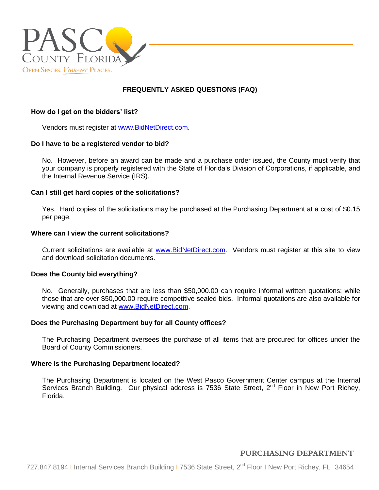

# **FREQUENTLY ASKED QUESTIONS (FAQ)**

## **How do I get on the bidders' list?**

Vendors must register at [www.BidNetDirect.com.](http://www.bidnetdirect.com/)

## **Do I have to be a registered vendor to bid?**

No. However, before an award can be made and a purchase order issued, the County must verify that your company is properly registered with the State of Florida's Division of Corporations, if applicable, and the Internal Revenue Service (IRS).

## **Can I still get hard copies of the solicitations?**

Yes. Hard copies of the solicitations may be purchased at the Purchasing Department at a cost of \$0.15 per page.

## **Where can I view the current solicitations?**

Current solicitations are available at [www.BidNetDirect.com.](http://www.bidnetdirect.com/) Vendors must register at this site to view and download solicitation documents.

## **Does the County bid everything?**

No. Generally, purchases that are less than \$50,000.00 can require informal written quotations; while those that are over \$50,000.00 require competitive sealed bids. Informal quotations are also available for viewing and download at [www.BidNetDirect.com.](http://www.bidnetdirect.com/)

## **Does the Purchasing Department buy for all County offices?**

The Purchasing Department oversees the purchase of all items that are procured for offices under the Board of County Commissioners.

## **Where is the Purchasing Department located?**

The Purchasing Department is located on the West Pasco Government Center campus at the Internal Services Branch Building. Our physical address is 7536 State Street,  $2^{nd}$  Floor in New Port Richey, Florida.